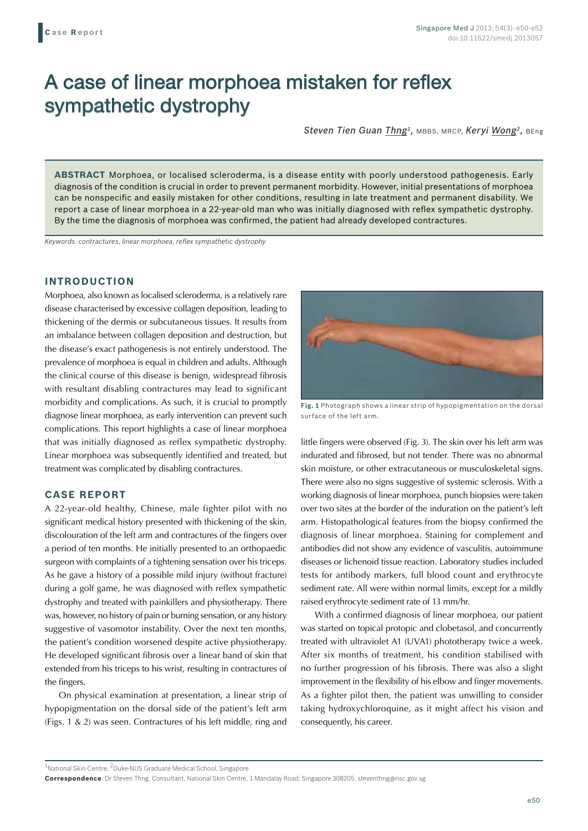# A case of linear morphoea mistaken for reflex sympathetic dystrophy

*Steven Tien Guan Thng1,* MBBS, MRCP, *Keryi Wong2,* BEng

**ABSTRACT** Morphoea, or localised scleroderma, is a disease entity with poorly understood pathogenesis. Early diagnosis of the condition is crucial in order to prevent permanent morbidity. However, initial presentations of morphoea can be nonspecific and easily mistaken for other conditions, resulting in late treatment and permanent disability. We report a case of linear morphoea in a 22-year-old man who was initially diagnosed with reflex sympathetic dystrophy. By the time the diagnosis of morphoea was confirmed, the patient had already developed contractures.

*Keywords: contractures, linear morphoea, reflex sympathetic dystrophy*

## **INTRODUCTION**

Morphoea, also known as localised scleroderma, is a relatively rare disease characterised by excessive collagen deposition, leading to thickening of the dermis or subcutaneous tissues. It results from an imbalance between collagen deposition and destruction, but the disease's exact pathogenesis is not entirely understood. The prevalence of morphoea is equal in children and adults. Although the clinical course of this disease is benign, widespread fibrosis with resultant disabling contractures may lead to significant morbidity and complications. As such, it is crucial to promptly diagnose linear morphoea, as early intervention can prevent such complications. This report highlights a case of linear morphoea that was initially diagnosed as reflex sympathetic dystrophy. Linear morphoea was subsequently identified and treated, but treatment was complicated by disabling contractures.

### **CASE REPORT**

A 22-year-old healthy, Chinese, male fighter pilot with no significant medical history presented with thickening of the skin, discolouration of the left arm and contractures of the fingers over a period of ten months. He initially presented to an orthopaedic surgeon with complaints of a tightening sensation over his triceps. As he gave a history of a possible mild injury (without fracture) during a golf game, he was diagnosed with reflex sympathetic dystrophy and treated with painkillers and physiotherapy. There was, however, no history of pain or burning sensation, or any history suggestive of vasomotor instability. Over the next ten months, the patient's condition worsened despite active physiotherapy. He developed significant fibrosis over a linear band of skin that extended from his triceps to his wrist, resulting in contractures of the fingers.

On physical examination at presentation, a linear strip of hypopigmentation on the dorsal side of the patient's left arm (Figs. 1 & 2) was seen. Contractures of his left middle, ring and



**Fig. 1** Photograph shows a linear strip of hypopigmentation on the dorsal surface of the left arm.

little fingers were observed (Fig. 3). The skin over his left arm was indurated and fibrosed, but not tender. There was no abnormal skin moisture, or other extracutaneous or musculoskeletal signs. There were also no signs suggestive of systemic sclerosis. With a working diagnosis of linear morphoea, punch biopsies were taken over two sites at the border of the induration on the patient's left arm. Histopathological features from the biopsy confirmed the diagnosis of linear morphoea. Staining for complement and antibodies did not show any evidence of vasculitis, autoimmune diseases or lichenoid tissue reaction. Laboratory studies included tests for antibody markers, full blood count and erythrocyte sediment rate. All were within normal limits, except for a mildly raised erythrocyte sediment rate of 13 mm/hr.

With a confirmed diagnosis of linear morphoea, our patient was started on topical protopic and clobetasol, and concurrently treated with ultraviolet A1 (UVA1) phototherapy twice a week. After six months of treatment, his condition stabilised with no further progression of his fibrosis. There was also a slight improvement in the flexibility of his elbow and finger movements. As a fighter pilot then, the patient was unwilling to consider taking hydroxychloroquine, as it might affect his vision and consequently, his career.

<sup>1</sup>National Skin Centre, <sup>2</sup>Duke-NUS Graduate Medical School, Singapore

**Correspondence**: Dr Steven Thng, Consultant, National Skin Centre, 1 Mandalay Road, Singapore 308205. steventhng@nsc.gov.sg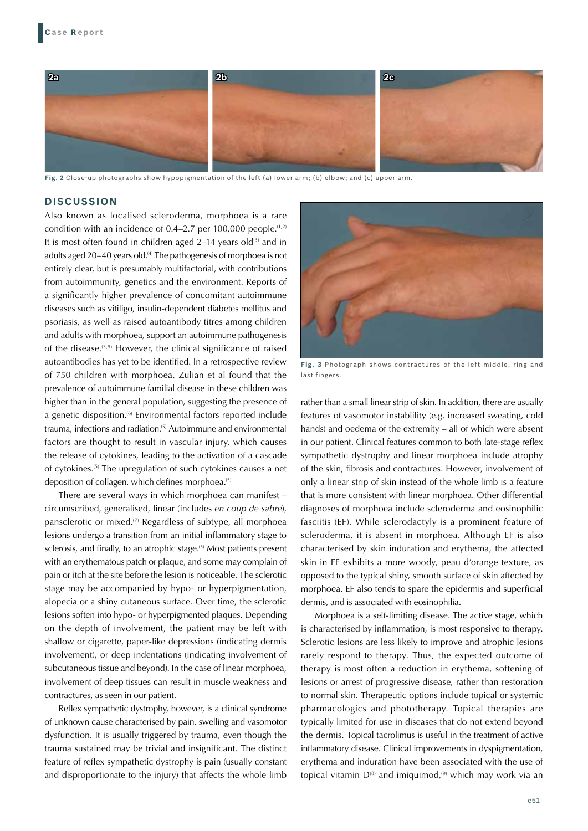

**Fig. 2** Close-up photographs show hypopigmentation of the left (a) lower arm; (b) elbow; and (c) upper arm.

#### **DISCUSSION**

Also known as localised scleroderma, morphoea is a rare condition with an incidence of  $0.4-2.7$  per 100,000 people.<sup> $(1,2)$ </sup> It is most often found in children aged 2–14 years old $(3)$  and in adults aged 20–40 years old.<sup>(4)</sup> The pathogenesis of morphoea is not entirely clear, but is presumably multifactorial, with contributions from autoimmunity, genetics and the environment. Reports of a significantly higher prevalence of concomitant autoimmune diseases such as vitiligo, insulin-dependent diabetes mellitus and psoriasis, as well as raised autoantibody titres among children and adults with morphoea, support an autoimmune pathogenesis of the disease.(3,5) However, the clinical significance of raised autoantibodies has yet to be identified. In a retrospective review of 750 children with morphoea, Zulian et al found that the prevalence of autoimmune familial disease in these children was higher than in the general population, suggesting the presence of a genetic disposition.<sup>(6)</sup> Environmental factors reported include trauma, infections and radiation.<sup>(5)</sup> Autoimmune and environmental factors are thought to result in vascular injury, which causes the release of cytokines, leading to the activation of a cascade of cytokines.(5) The upregulation of such cytokines causes a net deposition of collagen, which defines morphoea.<sup>(5)</sup>

There are several ways in which morphoea can manifest – circumscribed, generalised, linear (includes *en coup de sabre*), pansclerotic or mixed.(7) Regardless of subtype, all morphoea lesions undergo a transition from an initial inflammatory stage to sclerosis, and finally, to an atrophic stage.<sup>(5)</sup> Most patients present with an erythematous patch or plaque, and some may complain of pain or itch at the site before the lesion is noticeable. The sclerotic stage may be accompanied by hypo- or hyperpigmentation, alopecia or a shiny cutaneous surface. Over time, the sclerotic lesions soften into hypo- or hyperpigmented plaques. Depending on the depth of involvement, the patient may be left with shallow or cigarette, paper-like depressions (indicating dermis involvement), or deep indentations (indicating involvement of subcutaneous tissue and beyond). In the case of linear morphoea, involvement of deep tissues can result in muscle weakness and contractures, as seen in our patient.

Reflex sympathetic dystrophy, however, is a clinical syndrome of unknown cause characterised by pain, swelling and vasomotor dysfunction. It is usually triggered by trauma, even though the trauma sustained may be trivial and insignificant. The distinct feature of reflex sympathetic dystrophy is pain (usually constant and disproportionate to the injury) that affects the whole limb



**Fig. 3** Photograph shows contractures of the left middle, ring and last fingers.

rather than a small linear strip of skin. In addition, there are usually features of vasomotor instablility (e.g. increased sweating, cold hands) and oedema of the extremity – all of which were absent in our patient. Clinical features common to both late-stage reflex sympathetic dystrophy and linear morphoea include atrophy of the skin, fibrosis and contractures. However, involvement of only a linear strip of skin instead of the whole limb is a feature that is more consistent with linear morphoea. Other differential diagnoses of morphoea include scleroderma and eosinophilic fasciitis (EF). While sclerodactyly is a prominent feature of scleroderma, it is absent in morphoea. Although EF is also characterised by skin induration and erythema, the affected skin in EF exhibits a more woody, peau d'orange texture, as opposed to the typical shiny, smooth surface of skin affected by morphoea. EF also tends to spare the epidermis and superficial dermis, and is associated with eosinophilia.

Morphoea is a self-limiting disease. The active stage, which is characterised by inflammation, is most responsive to therapy. Sclerotic lesions are less likely to improve and atrophic lesions rarely respond to therapy. Thus, the expected outcome of therapy is most often a reduction in erythema, softening of lesions or arrest of progressive disease, rather than restoration to normal skin. Therapeutic options include topical or systemic pharmacologics and phototherapy. Topical therapies are typically limited for use in diseases that do not extend beyond the dermis. Topical tacrolimus is useful in the treatment of active inflammatory disease. Clinical improvements in dyspigmentation, erythema and induration have been associated with the use of topical vitamin  $D^{(8)}$  and imiguimod,<sup>(9)</sup> which may work via an